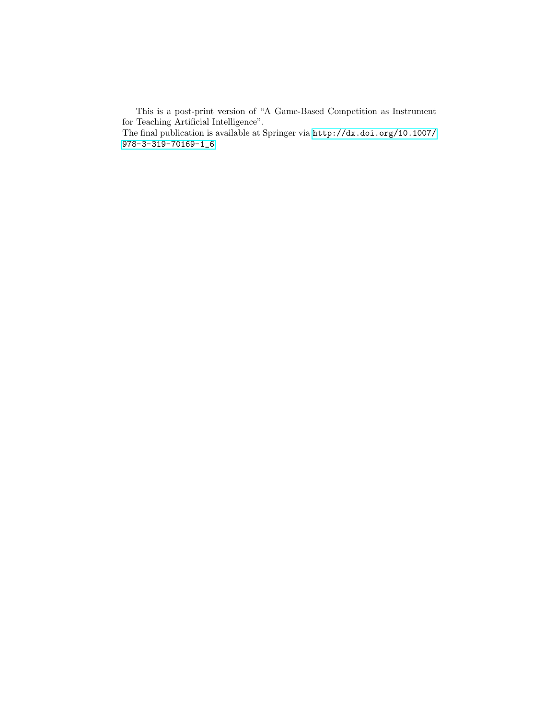This is a post-print version of "A Game-Based Competition as Instrument for Teaching Artificial Intelligence".

The final publication is available at Springer via [http://dx.doi.org/10.1007/](http://dx.doi.org/10.1007/978-3-319-70169-1_6) [978-3-319-70169-1\\_6](http://dx.doi.org/10.1007/978-3-319-70169-1_6)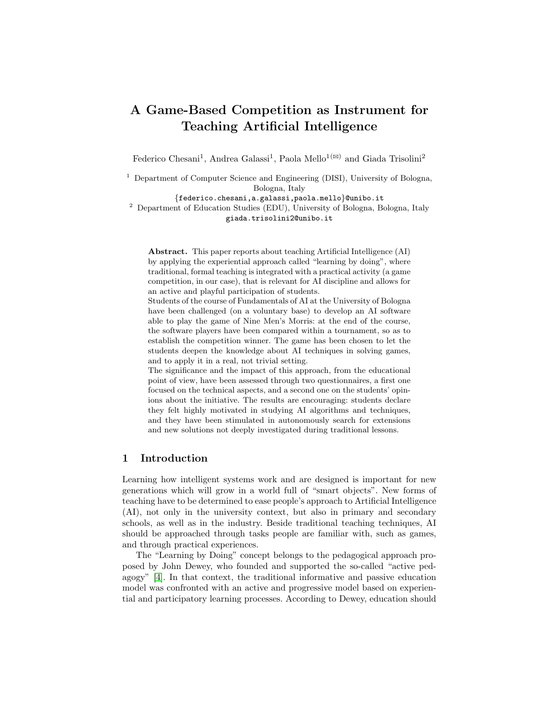# A Game-Based Competition as Instrument for Teaching Artificial Intelligence

Federico Chesani<sup>1</sup>, Andrea Galassi<sup>1</sup>, Paola Mello<sup>1( $\boxtimes$ )</sup> and Giada Trisolini<sup>2</sup>

<sup>1</sup> Department of Computer Science and Engineering (DISI), University of Bologna, Bologna, Italy

{federico.chesani,a.galassi,paola.mello}@unibo.it <sup>2</sup> Department of Education Studies (EDU), University of Bologna, Bologna, Italy giada.trisolini2@unibo.it

Abstract. This paper reports about teaching Artificial Intelligence (AI) by applying the experiential approach called "learning by doing", where traditional, formal teaching is integrated with a practical activity (a game competition, in our case), that is relevant for AI discipline and allows for an active and playful participation of students.

Students of the course of Fundamentals of AI at the University of Bologna have been challenged (on a voluntary base) to develop an AI software able to play the game of Nine Men's Morris: at the end of the course, the software players have been compared within a tournament, so as to establish the competition winner. The game has been chosen to let the students deepen the knowledge about AI techniques in solving games, and to apply it in a real, not trivial setting.

The significance and the impact of this approach, from the educational point of view, have been assessed through two questionnaires, a first one focused on the technical aspects, and a second one on the students' opinions about the initiative. The results are encouraging: students declare they felt highly motivated in studying AI algorithms and techniques, and they have been stimulated in autonomously search for extensions and new solutions not deeply investigated during traditional lessons.

## 1 Introduction

Learning how intelligent systems work and are designed is important for new generations which will grow in a world full of "smart objects". New forms of teaching have to be determined to ease people's approach to Artificial Intelligence (AI), not only in the university context, but also in primary and secondary schools, as well as in the industry. Beside traditional teaching techniques, AI should be approached through tasks people are familiar with, such as games, and through practical experiences.

The "Learning by Doing" concept belongs to the pedagogical approach proposed by John Dewey, who founded and supported the so-called "active pedagogy" [\[4\]](#page-13-0). In that context, the traditional informative and passive education model was confronted with an active and progressive model based on experiential and participatory learning processes. According to Dewey, education should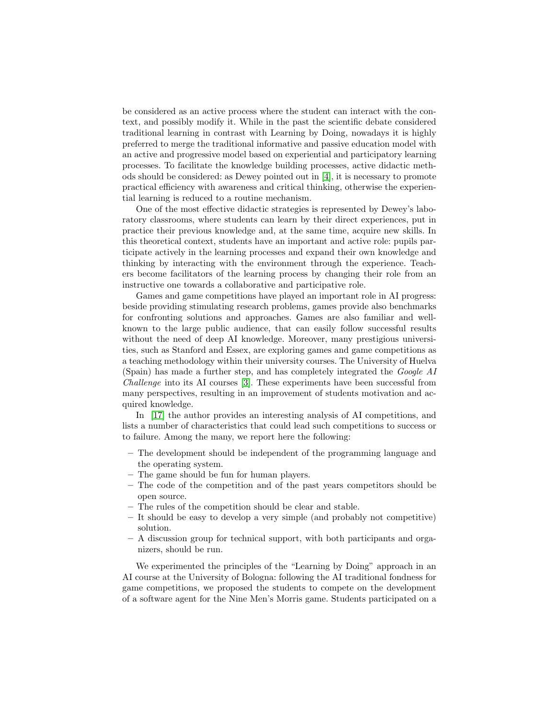be considered as an active process where the student can interact with the context, and possibly modify it. While in the past the scientific debate considered traditional learning in contrast with Learning by Doing, nowadays it is highly preferred to merge the traditional informative and passive education model with an active and progressive model based on experiential and participatory learning processes. To facilitate the knowledge building processes, active didactic methods should be considered: as Dewey pointed out in [\[4\]](#page-13-0), it is necessary to promote practical efficiency with awareness and critical thinking, otherwise the experiential learning is reduced to a routine mechanism.

One of the most effective didactic strategies is represented by Dewey's laboratory classrooms, where students can learn by their direct experiences, put in practice their previous knowledge and, at the same time, acquire new skills. In this theoretical context, students have an important and active role: pupils participate actively in the learning processes and expand their own knowledge and thinking by interacting with the environment through the experience. Teachers become facilitators of the learning process by changing their role from an instructive one towards a collaborative and participative role.

Games and game competitions have played an important role in AI progress: beside providing stimulating research problems, games provide also benchmarks for confronting solutions and approaches. Games are also familiar and wellknown to the large public audience, that can easily follow successful results without the need of deep AI knowledge. Moreover, many prestigious universities, such as Stanford and Essex, are exploring games and game competitions as a teaching methodology within their university courses. The University of Huelva (Spain) has made a further step, and has completely integrated the Google AI Challenge into its AI courses [\[3\]](#page-13-1). These experiments have been successful from many perspectives, resulting in an improvement of students motivation and acquired knowledge.

In [\[17\]](#page-13-2) the author provides an interesting analysis of AI competitions, and lists a number of characteristics that could lead such competitions to success or to failure. Among the many, we report here the following:

- The development should be independent of the programming language and the operating system.
- The game should be fun for human players.
- The code of the competition and of the past years competitors should be open source.
- The rules of the competition should be clear and stable.
- It should be easy to develop a very simple (and probably not competitive) solution.
- A discussion group for technical support, with both participants and organizers, should be run.

We experimented the principles of the "Learning by Doing" approach in an AI course at the University of Bologna: following the AI traditional fondness for game competitions, we proposed the students to compete on the development of a software agent for the Nine Men's Morris game. Students participated on a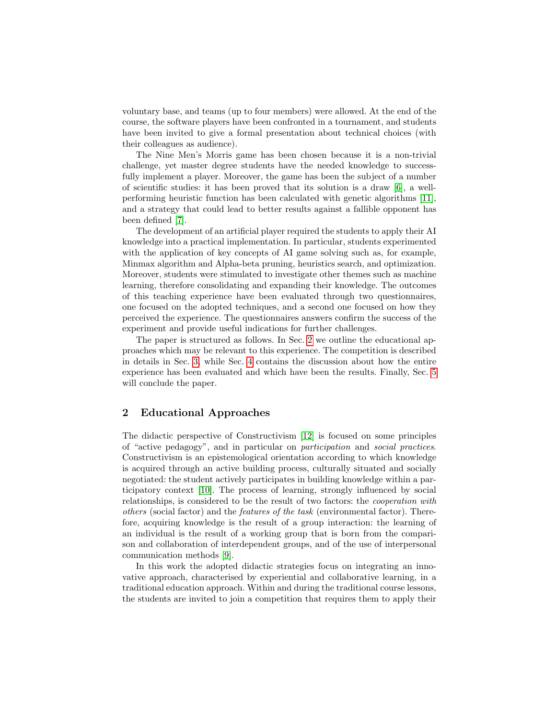voluntary base, and teams (up to four members) were allowed. At the end of the course, the software players have been confronted in a tournament, and students have been invited to give a formal presentation about technical choices (with their colleagues as audience).

The Nine Men's Morris game has been chosen because it is a non-trivial challenge, yet master degree students have the needed knowledge to successfully implement a player. Moreover, the game has been the subject of a number of scientific studies: it has been proved that its solution is a draw [\[6\]](#page-13-3), a wellperforming heuristic function has been calculated with genetic algorithms [\[11\]](#page-13-4), and a strategy that could lead to better results against a fallible opponent has been defined [\[7\]](#page-13-5).

The development of an artificial player required the students to apply their AI knowledge into a practical implementation. In particular, students experimented with the application of key concepts of AI game solving such as, for example, Minmax algorithm and Alpha-beta pruning, heuristics search, and optimization. Moreover, students were stimulated to investigate other themes such as machine learning, therefore consolidating and expanding their knowledge. The outcomes of this teaching experience have been evaluated through two questionnaires, one focused on the adopted techniques, and a second one focused on how they perceived the experience. The questionnaires answers confirm the success of the experiment and provide useful indications for further challenges.

The paper is structured as follows. In Sec. [2](#page-3-0) we outline the educational approaches which may be relevant to this experience. The competition is described in details in Sec. [3,](#page-4-0) while Sec. [4](#page-8-0) contains the discussion about how the entire experience has been evaluated and which have been the results. Finally, Sec. [5](#page-12-0) will conclude the paper.

# <span id="page-3-0"></span>2 Educational Approaches

The didactic perspective of Constructivism [\[12\]](#page-13-6) is focused on some principles of "active pedagogy", and in particular on participation and social practices. Constructivism is an epistemological orientation according to which knowledge is acquired through an active building process, culturally situated and socially negotiated: the student actively participates in building knowledge within a participatory context [\[10\]](#page-13-7). The process of learning, strongly influenced by social relationships, is considered to be the result of two factors: the cooperation with others (social factor) and the features of the task (environmental factor). Therefore, acquiring knowledge is the result of a group interaction: the learning of an individual is the result of a working group that is born from the comparison and collaboration of interdependent groups, and of the use of interpersonal communication methods [\[9\]](#page-13-8).

In this work the adopted didactic strategies focus on integrating an innovative approach, characterised by experiential and collaborative learning, in a traditional education approach. Within and during the traditional course lessons, the students are invited to join a competition that requires them to apply their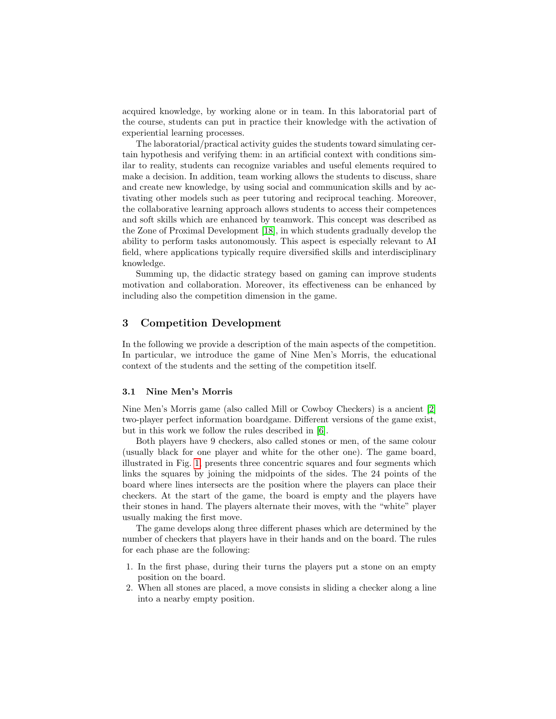acquired knowledge, by working alone or in team. In this laboratorial part of the course, students can put in practice their knowledge with the activation of experiential learning processes.

The laboratorial/practical activity guides the students toward simulating certain hypothesis and verifying them: in an artificial context with conditions similar to reality, students can recognize variables and useful elements required to make a decision. In addition, team working allows the students to discuss, share and create new knowledge, by using social and communication skills and by activating other models such as peer tutoring and reciprocal teaching. Moreover, the collaborative learning approach allows students to access their competences and soft skills which are enhanced by teamwork. This concept was described as the Zone of Proximal Development [\[18\]](#page-13-9), in which students gradually develop the ability to perform tasks autonomously. This aspect is especially relevant to AI field, where applications typically require diversified skills and interdisciplinary knowledge.

Summing up, the didactic strategy based on gaming can improve students motivation and collaboration. Moreover, its effectiveness can be enhanced by including also the competition dimension in the game.

## <span id="page-4-0"></span>3 Competition Development

In the following we provide a description of the main aspects of the competition. In particular, we introduce the game of Nine Men's Morris, the educational context of the students and the setting of the competition itself.

#### 3.1 Nine Men's Morris

Nine Men's Morris game (also called Mill or Cowboy Checkers) is a ancient [\[2\]](#page-13-10) two-player perfect information boardgame. Different versions of the game exist, but in this work we follow the rules described in [\[6\]](#page-13-3).

Both players have 9 checkers, also called stones or men, of the same colour (usually black for one player and white for the other one). The game board, illustrated in Fig. [1,](#page-5-0) presents three concentric squares and four segments which links the squares by joining the midpoints of the sides. The 24 points of the board where lines intersects are the position where the players can place their checkers. At the start of the game, the board is empty and the players have their stones in hand. The players alternate their moves, with the "white" player usually making the first move.

The game develops along three different phases which are determined by the number of checkers that players have in their hands and on the board. The rules for each phase are the following:

- 1. In the first phase, during their turns the players put a stone on an empty position on the board.
- 2. When all stones are placed, a move consists in sliding a checker along a line into a nearby empty position.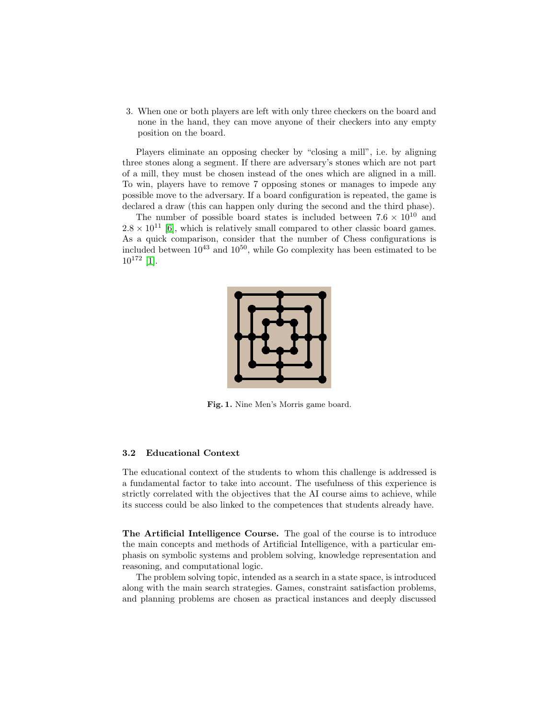3. When one or both players are left with only three checkers on the board and none in the hand, they can move anyone of their checkers into any empty position on the board.

Players eliminate an opposing checker by "closing a mill", i.e. by aligning three stones along a segment. If there are adversary's stones which are not part of a mill, they must be chosen instead of the ones which are aligned in a mill. To win, players have to remove 7 opposing stones or manages to impede any possible move to the adversary. If a board configuration is repeated, the game is declared a draw (this can happen only during the second and the third phase).

The number of possible board states is included between  $7.6 \times 10^{10}$  and  $2.8 \times 10^{11}$  [\[6\]](#page-13-3), which is relatively small compared to other classic board games. As a quick comparison, consider that the number of Chess configurations is included between  $10^{43}$  and  $10^{50}$ , while Go complexity has been estimated to be  $10^{172}$  [\[1\]](#page-13-11).

<span id="page-5-0"></span>

Fig. 1. Nine Men's Morris game board.

#### 3.2 Educational Context

The educational context of the students to whom this challenge is addressed is a fundamental factor to take into account. The usefulness of this experience is strictly correlated with the objectives that the AI course aims to achieve, while its success could be also linked to the competences that students already have.

The Artificial Intelligence Course. The goal of the course is to introduce the main concepts and methods of Artificial Intelligence, with a particular emphasis on symbolic systems and problem solving, knowledge representation and reasoning, and computational logic.

The problem solving topic, intended as a search in a state space, is introduced along with the main search strategies. Games, constraint satisfaction problems, and planning problems are chosen as practical instances and deeply discussed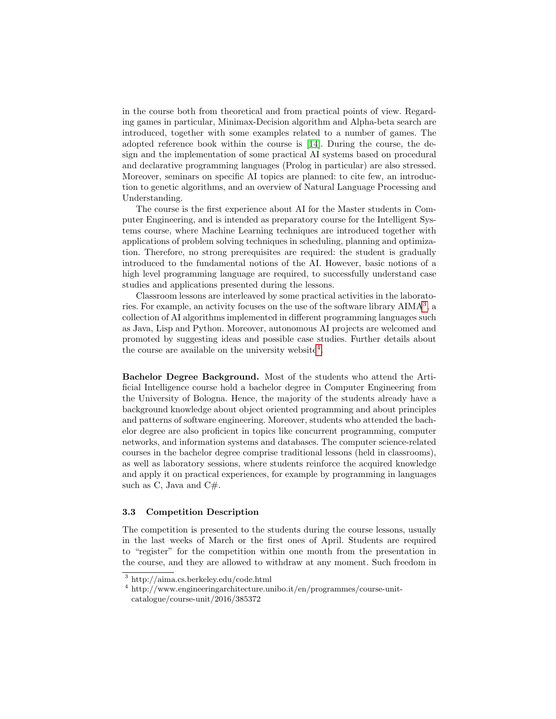in the course both from theoretical and from practical points of view. Regarding games in particular, Minimax-Decision algorithm and Alpha-beta search are introduced, together with some examples related to a number of games. The adopted reference book within the course is [\[14\]](#page-13-12). During the course, the design and the implementation of some practical AI systems based on procedural and declarative programming languages (Prolog in particular) are also stressed. Moreover, seminars on specific AI topics are planned: to cite few, an introduction to genetic algorithms, and an overview of Natural Language Processing and Understanding.

The course is the first experience about AI for the Master students in Computer Engineering, and is intended as preparatory course for the Intelligent Systems course, where Machine Learning techniques are introduced together with applications of problem solving techniques in scheduling, planning and optimization. Therefore, no strong prerequisites are required: the student is gradually introduced to the fundamental notions of the AI. However, basic notions of a high level programming language are required, to successfully understand case studies and applications presented during the lessons.

Classroom lessons are interleaved by some practical activities in the laborato-ries. For example, an activity focuses on the use of the software library AIMA<sup>[3](#page-6-0)</sup>, a collection of AI algorithms implemented in different programming languages such as Java, Lisp and Python. Moreover, autonomous AI projects are welcomed and promoted by suggesting ideas and possible case studies. Further details about the course are available on the university website<sup>[4](#page-6-1)</sup>.

Bachelor Degree Background. Most of the students who attend the Artificial Intelligence course hold a bachelor degree in Computer Engineering from the University of Bologna. Hence, the majority of the students already have a background knowledge about object oriented programming and about principles and patterns of software engineering. Moreover, students who attended the bachelor degree are also proficient in topics like concurrent programming, computer networks, and information systems and databases. The computer science-related courses in the bachelor degree comprise traditional lessons (held in classrooms), as well as laboratory sessions, where students reinforce the acquired knowledge and apply it on practical experiences, for example by programming in languages such as C, Java and C#.

#### 3.3 Competition Description

The competition is presented to the students during the course lessons, usually in the last weeks of March or the first ones of April. Students are required to "register" for the competition within one month from the presentation in the course, and they are allowed to withdraw at any moment. Such freedom in

<span id="page-6-0"></span><sup>3</sup> http://aima.cs.berkeley.edu/code.html

<span id="page-6-1"></span><sup>4</sup> http://www.engineeringarchitecture.unibo.it/en/programmes/course-unitcatalogue/course-unit/2016/385372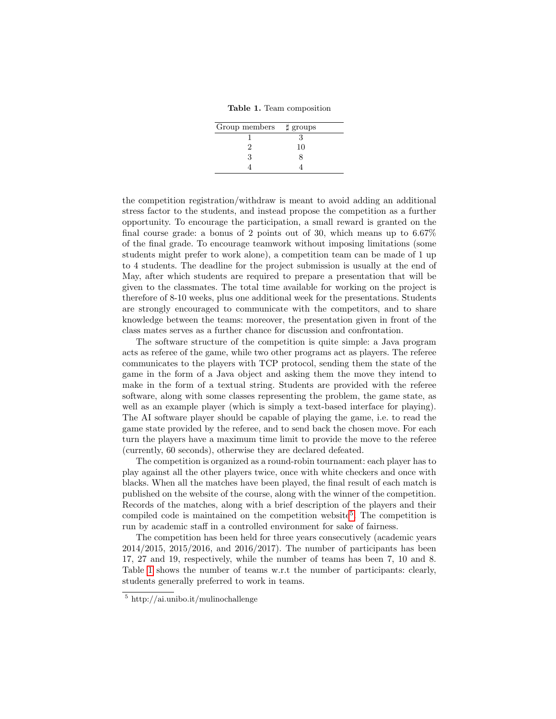<span id="page-7-1"></span>Table 1. Team composition

| Group members | $\sharp$ groups |  |
|---------------|-----------------|--|
|               |                 |  |
|               | 10              |  |
| 3             |                 |  |
|               |                 |  |

the competition registration/withdraw is meant to avoid adding an additional stress factor to the students, and instead propose the competition as a further opportunity. To encourage the participation, a small reward is granted on the final course grade: a bonus of 2 points out of 30, which means up to 6.67% of the final grade. To encourage teamwork without imposing limitations (some students might prefer to work alone), a competition team can be made of 1 up to 4 students. The deadline for the project submission is usually at the end of May, after which students are required to prepare a presentation that will be given to the classmates. The total time available for working on the project is therefore of 8-10 weeks, plus one additional week for the presentations. Students are strongly encouraged to communicate with the competitors, and to share knowledge between the teams: moreover, the presentation given in front of the class mates serves as a further chance for discussion and confrontation.

The software structure of the competition is quite simple: a Java program acts as referee of the game, while two other programs act as players. The referee communicates to the players with TCP protocol, sending them the state of the game in the form of a Java object and asking them the move they intend to make in the form of a textual string. Students are provided with the referee software, along with some classes representing the problem, the game state, as well as an example player (which is simply a text-based interface for playing). The AI software player should be capable of playing the game, i.e. to read the game state provided by the referee, and to send back the chosen move. For each turn the players have a maximum time limit to provide the move to the referee (currently, 60 seconds), otherwise they are declared defeated.

The competition is organized as a round-robin tournament: each player has to play against all the other players twice, once with white checkers and once with blacks. When all the matches have been played, the final result of each match is published on the website of the course, along with the winner of the competition. Records of the matches, along with a brief description of the players and their compiled code is maintained on the competition website<sup>[5](#page-7-0)</sup>. The competition is run by academic staff in a controlled environment for sake of fairness.

The competition has been held for three years consecutively (academic years 2014/2015, 2015/2016, and 2016/2017). The number of participants has been 17, 27 and 19, respectively, while the number of teams has been 7, 10 and 8. Table [1](#page-7-1) shows the number of teams w.r.t the number of participants: clearly, students generally preferred to work in teams.

<span id="page-7-0"></span><sup>5</sup> http://ai.unibo.it/mulinochallenge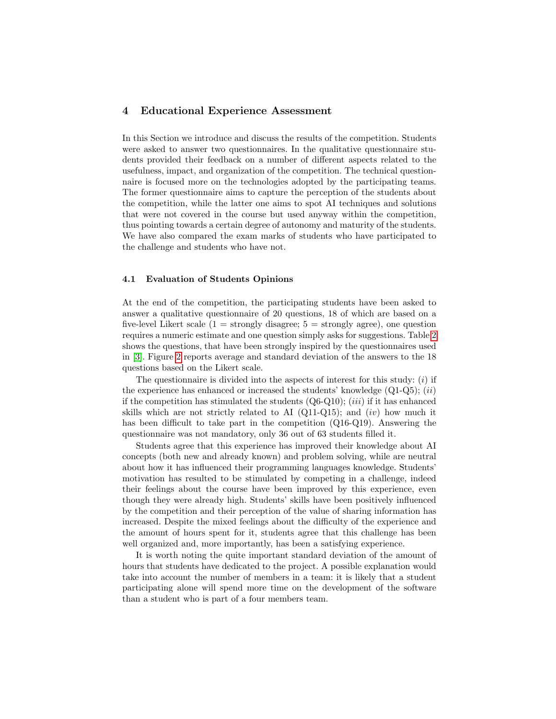# <span id="page-8-0"></span>4 Educational Experience Assessment

In this Section we introduce and discuss the results of the competition. Students were asked to answer two questionnaires. In the qualitative questionnaire students provided their feedback on a number of different aspects related to the usefulness, impact, and organization of the competition. The technical questionnaire is focused more on the technologies adopted by the participating teams. The former questionnaire aims to capture the perception of the students about the competition, while the latter one aims to spot AI techniques and solutions that were not covered in the course but used anyway within the competition, thus pointing towards a certain degree of autonomy and maturity of the students. We have also compared the exam marks of students who have participated to the challenge and students who have not.

## 4.1 Evaluation of Students Opinions

At the end of the competition, the participating students have been asked to answer a qualitative questionnaire of 20 questions, 18 of which are based on a five-level Likert scale  $(1 =$  strongly disagree;  $5 =$  strongly agree), one question requires a numeric estimate and one question simply asks for suggestions. Table [2](#page-9-0) shows the questions, that have been strongly inspired by the questionnaires used in [\[3\]](#page-13-1). Figure [2](#page-10-0) reports average and standard deviation of the answers to the 18 questions based on the Likert scale.

The questionnaire is divided into the aspects of interest for this study:  $(i)$  if the experience has enhanced or increased the students' knowledge  $(Q1-Q5)$ ;  $(ii)$ if the competition has stimulated the students  $(Q6\text{-}Q10); (iii)$  if it has enhanced skills which are not strictly related to AI  $(Q11-Q15)$ ; and  $(iv)$  how much it has been difficult to take part in the competition (Q16-Q19). Answering the questionnaire was not mandatory, only 36 out of 63 students filled it.

Students agree that this experience has improved their knowledge about AI concepts (both new and already known) and problem solving, while are neutral about how it has influenced their programming languages knowledge. Students' motivation has resulted to be stimulated by competing in a challenge, indeed their feelings about the course have been improved by this experience, even though they were already high. Students' skills have been positively influenced by the competition and their perception of the value of sharing information has increased. Despite the mixed feelings about the difficulty of the experience and the amount of hours spent for it, students agree that this challenge has been well organized and, more importantly, has been a satisfying experience.

It is worth noting the quite important standard deviation of the amount of hours that students have dedicated to the project. A possible explanation would take into account the number of members in a team: it is likely that a student participating alone will spend more time on the development of the software than a student who is part of a four members team.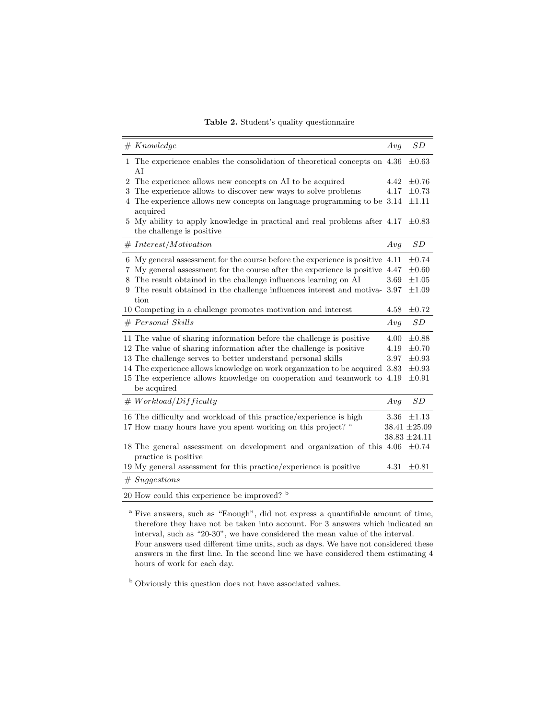<span id="page-9-0"></span>Table 2. Student's quality questionnaire

| # Knowledge                                                                                            | Avq  | SD                |
|--------------------------------------------------------------------------------------------------------|------|-------------------|
| 1 The experience enables the consolidation of theoretical concepts on 4.36<br>AI                       |      | $\pm 0.63$        |
| 2 The experience allows new concepts on AI to be acquired                                              | 4.42 | $\pm 0.76$        |
| The experience allows to discover new ways to solve problems                                           | 4.17 | $\pm 0.73$        |
| 4 The experience allows new concepts on language programming to be 3.14<br>acquired                    |      | $\pm 1.11$        |
| 5 My ability to apply knowledge in practical and real problems after 4.17<br>the challenge is positive |      | $\pm 0.83$        |
| # Interest/Motivation                                                                                  | Avg  | SD                |
| 6 My general assessment for the course before the experience is positive 4.11                          |      | $\pm 0.74$        |
| My general assessment for the course after the experience is positive 4.47                             |      | $\pm 0.60$        |
| The result obtained in the challenge influences learning on AI                                         | 3.69 | $\pm 1.05$        |
| 9 The result obtained in the challenge influences interest and motiva- 3.97<br>tion                    |      | $\pm 1.09$        |
| 10 Competing in a challenge promotes motivation and interest                                           | 4.58 | $\pm 0.72$        |
| $#$ Personal Skills                                                                                    | Avq  | SD                |
| 11 The value of sharing information before the challenge is positive                                   | 4.00 | $\pm 0.88$        |
| 12 The value of sharing information after the challenge is positive                                    | 4.19 | $\pm 0.70$        |
| 13 The challenge serves to better understand personal skills                                           | 3.97 | $\pm 0.93$        |
| 14 The experience allows knowledge on work organization to be acquired 3.83                            |      | $\pm 0.93$        |
| 15 The experience allows knowledge on cooperation and teamwork to 4.19<br>be acquired                  |      | $\pm 0.91$        |
| # Workload/Diffically                                                                                  | Avg  | SD                |
| 16 The difficulty and workload of this practice/experience is high                                     | 3.36 | $\pm 1.13$        |
| 17 How many hours have you spent working on this project? a                                            |      | $38.41 \pm 25.09$ |
|                                                                                                        |      | $38.83 \pm 24.11$ |
| 18 The general assessment on development and organization of this 4.06<br>practice is positive         |      | $\pm 0.74$        |
| 19 My general assessment for this practice/experience is positive                                      | 4.31 | $\pm 0.81$        |
| $#$ Suggestions                                                                                        |      |                   |
| 20 How could this experience be improved? b                                                            |      |                   |
|                                                                                                        |      |                   |

<sup>a</sup> Five answers, such as "Enough", did not express a quantifiable amount of time, therefore they have not be taken into account. For 3 answers which indicated an interval, such as "20-30", we have considered the mean value of the interval. Four answers used different time units, such as days. We have not considered these answers in the first line. In the second line we have considered them estimating 4 hours of work for each day.

 $^{\rm b}$  Obviously this question does not have associated values.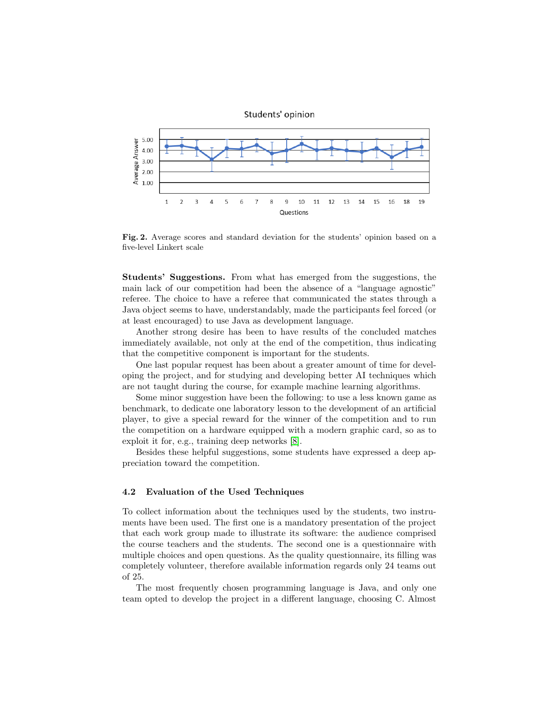

<span id="page-10-0"></span>Fig. 2. Average scores and standard deviation for the students' opinion based on a five-level Linkert scale

Students' Suggestions. From what has emerged from the suggestions, the main lack of our competition had been the absence of a "language agnostic" referee. The choice to have a referee that communicated the states through a Java object seems to have, understandably, made the participants feel forced (or at least encouraged) to use Java as development language.

Another strong desire has been to have results of the concluded matches immediately available, not only at the end of the competition, thus indicating that the competitive component is important for the students.

One last popular request has been about a greater amount of time for developing the project, and for studying and developing better AI techniques which are not taught during the course, for example machine learning algorithms.

Some minor suggestion have been the following: to use a less known game as benchmark, to dedicate one laboratory lesson to the development of an artificial player, to give a special reward for the winner of the competition and to run the competition on a hardware equipped with a modern graphic card, so as to exploit it for, e.g., training deep networks [\[8\]](#page-13-13).

Besides these helpful suggestions, some students have expressed a deep appreciation toward the competition.

#### 4.2 Evaluation of the Used Techniques

To collect information about the techniques used by the students, two instruments have been used. The first one is a mandatory presentation of the project that each work group made to illustrate its software: the audience comprised the course teachers and the students. The second one is a questionnaire with multiple choices and open questions. As the quality questionnaire, its filling was completely volunteer, therefore available information regards only 24 teams out of 25.

The most frequently chosen programming language is Java, and only one team opted to develop the project in a different language, choosing C. Almost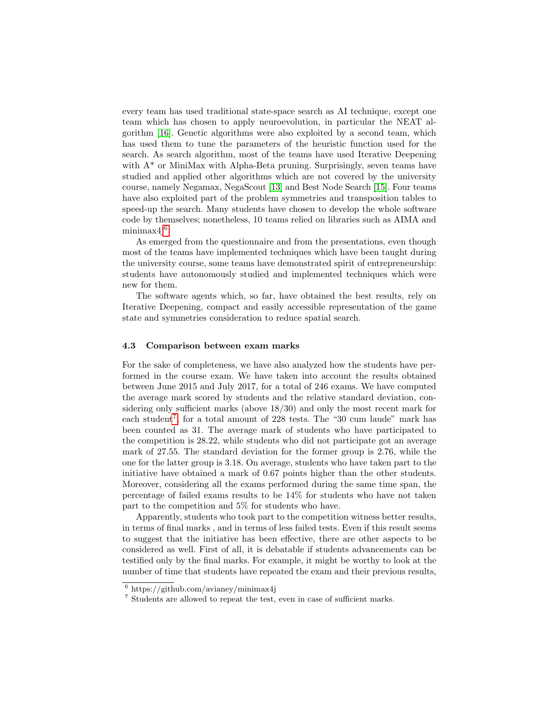every team has used traditional state-space search as AI technique, except one team which has chosen to apply neuroevolution, in particular the NEAT algorithm [\[16\]](#page-13-14). Genetic algorithms were also exploited by a second team, which has used them to tune the parameters of the heuristic function used for the search. As search algorithm, most of the teams have used Iterative Deepening with  $A^*$  or MiniMax with Alpha-Beta pruning. Surprisingly, seven teams have studied and applied other algorithms which are not covered by the university course, namely Negamax, NegaScout [\[13\]](#page-13-15) and Best Node Search [\[15\]](#page-13-16). Four teams have also exploited part of the problem symmetries and transposition tables to speed-up the search. Many students have chosen to develop the whole software code by themselves; nonetheless, 10 teams relied on libraries such as AIMA and minimax4j<sup>[6](#page-11-0)</sup>.

As emerged from the questionnaire and from the presentations, even though most of the teams have implemented techniques which have been taught during the university course, some teams have demonstrated spirit of entrepreneurship: students have autonomously studied and implemented techniques which were new for them.

The software agents which, so far, have obtained the best results, rely on Iterative Deepening, compact and easily accessible representation of the game state and symmetries consideration to reduce spatial search.

#### 4.3 Comparison between exam marks

For the sake of completeness, we have also analyzed how the students have performed in the course exam. We have taken into account the results obtained between June 2015 and July 2017, for a total of 246 exams. We have computed the average mark scored by students and the relative standard deviation, considering only sufficient marks (above 18/30) and only the most recent mark for each student<sup>[7](#page-11-1)</sup>, for a total amount of 228 tests. The "30 cum laude" mark has been counted as 31. The average mark of students who have participated to the competition is 28.22, while students who did not participate got an average mark of 27.55. The standard deviation for the former group is 2.76, while the one for the latter group is 3.18. On average, students who have taken part to the initiative have obtained a mark of 0.67 points higher than the other students. Moreover, considering all the exams performed during the same time span, the percentage of failed exams results to be 14% for students who have not taken part to the competition and 5% for students who have.

Apparently, students who took part to the competition witness better results, in terms of final marks , and in terms of less failed tests. Even if this result seems to suggest that the initiative has been effective, there are other aspects to be considered as well. First of all, it is debatable if students advancements can be testified only by the final marks. For example, it might be worthy to look at the number of time that students have repeated the exam and their previous results,

<span id="page-11-0"></span> $6 \text{ https://github.com/avianev/minimax4}$ 

<span id="page-11-1"></span><sup>7</sup> Students are allowed to repeat the test, even in case of sufficient marks.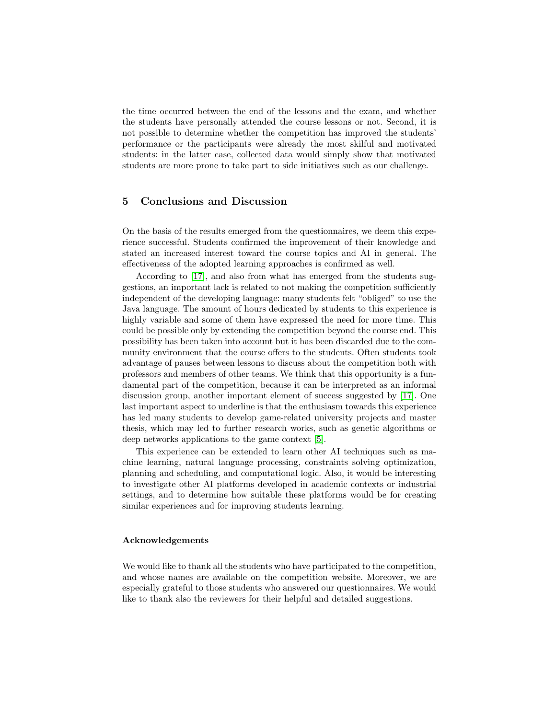the time occurred between the end of the lessons and the exam, and whether the students have personally attended the course lessons or not. Second, it is not possible to determine whether the competition has improved the students' performance or the participants were already the most skilful and motivated students: in the latter case, collected data would simply show that motivated students are more prone to take part to side initiatives such as our challenge.

# <span id="page-12-0"></span>5 Conclusions and Discussion

On the basis of the results emerged from the questionnaires, we deem this experience successful. Students confirmed the improvement of their knowledge and stated an increased interest toward the course topics and AI in general. The effectiveness of the adopted learning approaches is confirmed as well.

According to [\[17\]](#page-13-2), and also from what has emerged from the students suggestions, an important lack is related to not making the competition sufficiently independent of the developing language: many students felt "obliged" to use the Java language. The amount of hours dedicated by students to this experience is highly variable and some of them have expressed the need for more time. This could be possible only by extending the competition beyond the course end. This possibility has been taken into account but it has been discarded due to the community environment that the course offers to the students. Often students took advantage of pauses between lessons to discuss about the competition both with professors and members of other teams. We think that this opportunity is a fundamental part of the competition, because it can be interpreted as an informal discussion group, another important element of success suggested by [\[17\]](#page-13-2). One last important aspect to underline is that the enthusiasm towards this experience has led many students to develop game-related university projects and master thesis, which may led to further research works, such as genetic algorithms or deep networks applications to the game context [\[5\]](#page-13-17).

This experience can be extended to learn other AI techniques such as machine learning, natural language processing, constraints solving optimization, planning and scheduling, and computational logic. Also, it would be interesting to investigate other AI platforms developed in academic contexts or industrial settings, and to determine how suitable these platforms would be for creating similar experiences and for improving students learning.

#### Acknowledgements

We would like to thank all the students who have participated to the competition, and whose names are available on the competition website. Moreover, we are especially grateful to those students who answered our questionnaires. We would like to thank also the reviewers for their helpful and detailed suggestions.